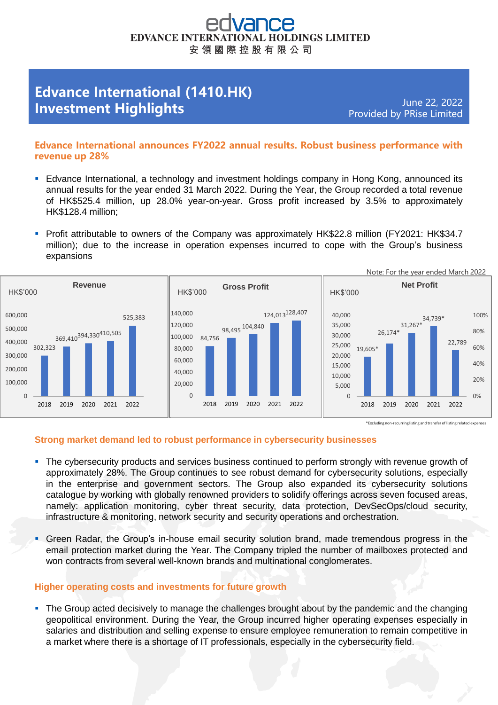# **EDVANCE INTER HOLDINGS LIMITED** 安 領 國 際 控 股 有 限 公 司

# **Edvance International (1410.HK) Investment Highlights**

June 22, 2022 Provided by PRise Limited

## **Edvance International announces FY2022 annual results. Robust business performance with revenue up 28%**

- **E** Edvance International, a technology and investment holdings company in Hong Kong, announced its annual results for the year ended 31 March 2022. During the Year, the Group recorded a total revenue of HK\$525.4 million, up 28.0% year-on-year. Gross profit increased by 3.5% to approximately HK\$128.4 million;
- Profit attributable to owners of the Company was approximately HK\$22.8 million (FY2021: HK\$34.7 million); due to the increase in operation expenses incurred to cope with the Group's business expansions



#### **Strong market demand led to robust performance in cybersecurity businesses**

- **•** The cybersecurity products and services business continued to perform strongly with revenue growth of approximately 28%. The Group continues to see robust demand for cybersecurity solutions, especially in the enterprise and government sectors. The Group also expanded its cybersecurity solutions catalogue by working with globally renowned providers to solidify offerings across seven focused areas, namely: application monitoring, cyber threat security, data protection, DevSecOps/cloud security, infrastructure & monitoring, network security and security operations and orchestration.
- **Green Radar, the Group's in-house email security solution brand, made tremendous progress in the** email protection market during the Year. The Company tripled the number of mailboxes protected and won contracts from several well-known brands and multinational conglomerates.

### **Higher operating costs and investments for future growth**

• The Group acted decisively to manage the challenges brought about by the pandemic and the changing geopolitical environment. During the Year, the Group incurred higher operating expenses especially in salaries and distribution and selling expense to ensure employee remuneration to remain competitive in a market where there is a shortage of IT professionals, especially in the cybersecurity field.